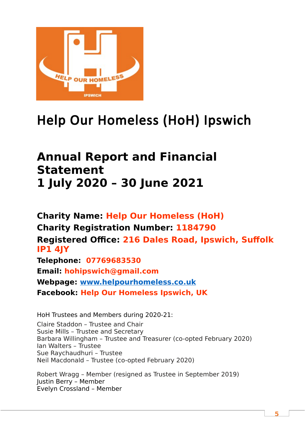

# Help Our Homeless (HoH) Ipswich

## **Annual Report and Financial Statement 1 July 2020 – 30 June 2021**

**Charity Name: Help Our Homeless (HoH) Charity Registration Number: 1184790 Registered Office: 216 Dales Road, Ipswich, Suffolk IP1 4JY Telephone: 07769683530 Email: [hohipswich@gmail.com](mailto:hohipswich@gmail.com) Webpage: [www.helpourhomeless.co.uk](http://www.helpourhomeless.co.uk/)**

**Facebook: Help Our Homeless Ipswich, UK**

HoH Trustees and Members during 2020-21: Claire Staddon – Trustee and Chair Susie Mills – Trustee and Secretary Barbara Willingham – Trustee and Treasurer (co-opted February 2020) Ian Walters – Trustee Sue Raychaudhuri – Trustee Neil Macdonald – Trustee (co-opted February 2020)

Robert Wragg – Member (resigned as Trustee in September 2019) Justin Berry – Member Evelyn Crossland – Member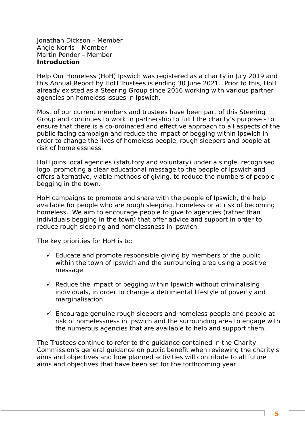Jonathan Dickson – Member Angie Norris – Member Martin Pender – Member **Introduction**

Help Our Homeless (HoH) Ipswich was registered as a charity in July 2019 and this Annual Report by HoH Trustees is ending 30 June 2021. Prior to this, HoH already existed as a Steering Group since 2016 working with various partner agencies on homeless issues in Ipswich.

Most of our current members and trustees have been part of this Steering Group and continues to work in partnership to fulfil the charity's purpose - to ensure that there is a co-ordinated and effective approach to all aspects of the public facing campaign and reduce the impact of begging within Ipswich in order to change the lives of homeless people, rough sleepers and people at risk of homelessness.

HoH joins local agencies (statutory and voluntary) under a single, recognised logo, promoting a clear educational message to the people of Ipswich and offers alternative, viable methods of giving, to reduce the numbers of people begging in the town.

HoH campaigns to promote and share with the people of Ipswich, the help available for people who are rough sleeping, homeless or at risk of becoming homeless. We aim to encourage people to give to agencies (rather than individuals begging in the town) that offer advice and support in order to reduce rough sleeping and homelessness in Ipswich.

The key priorities for HoH is to:

- $\checkmark$  Educate and promote responsible giving by members of the public within the town of Ipswich and the surrounding area using a positive message.
- $\checkmark$  Reduce the impact of begging within Ipswich without criminalising individuals, in order to change a detrimental lifestyle of poverty and marginalisation.
- $\checkmark$  Encourage genuine rough sleepers and homeless people and people at risk of homelessness in Ipswich and the surrounding area to engage with the numerous agencies that are available to help and support them.

The Trustees continue to refer to the guidance contained in the Charity Commission's general guidance on public benefit when reviewing the charity's aims and objectives and how planned activities will contribute to all future aims and objectives that have been set for the forthcoming year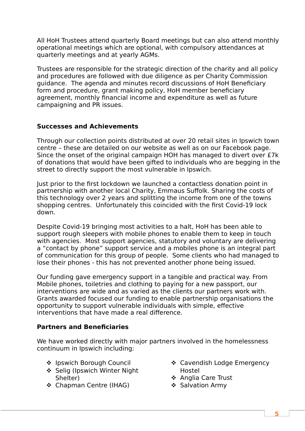All HoH Trustees attend quarterly Board meetings but can also attend monthly operational meetings which are optional, with compulsory attendances at quarterly meetings and at yearly AGMs.

Trustees are responsible for the strategic direction of the charity and all policy and procedures are followed with due diligence as per Charity Commission guidance. The agenda and minutes record discussions of HoH Beneficiary form and procedure, grant making policy, HoH member beneficiary agreement, monthly financial income and expenditure as well as future campaigning and PR issues.

#### **Successes and Achievements**

Through our collection points distributed at over 20 retail sites in Ipswich town centre – these are detailed on our website as well as on our Facebook page. Since the onset of the original campaign HOH has managed to divert over £7k of donations that would have been gifted to individuals who are begging in the street to directly support the most vulnerable in Ipswich.

Just prior to the first lockdown we launched a contactless donation point in partnership with another local Charity, Emmaus Suffolk. Sharing the costs of this technology over 2 years and splitting the income from one of the towns shopping centres. Unfortunately this coincided with the first Covid-19 lock down.

Despite Covid-19 bringing most activities to a halt, HoH has been able to support rough sleepers with mobile phones to enable them to keep in touch with agencies. Most support agencies, statutory and voluntary are delivering a "contact by phone" support service and a mobiles phone is an integral part of communication for this group of people. Some clients who had managed to lose their phones - this has not prevented another phone being issued.

Our funding gave emergency support in a tangible and practical way. From Mobile phones, toiletries and clothing to paying for a new passport, our interventions are wide and as varied as the clients our partners work with. Grants awarded focused our funding to enable partnership organisations the opportunity to support vulnerable individuals with simple, effective interventions that have made a real difference.

### **Partners and Beneficiaries**

We have worked directly with major partners involved in the homelessness continuum in Ipswich including:

- ❖ Ipswich Borough Council
- ❖ Selig (Ipswich Winter Night Shelter)
- ❖ Chapman Centre (IHAG)
- Cavendish Lodge Emergency Hostel
- ❖ Anglia Care Trust
- ❖ Salvation Army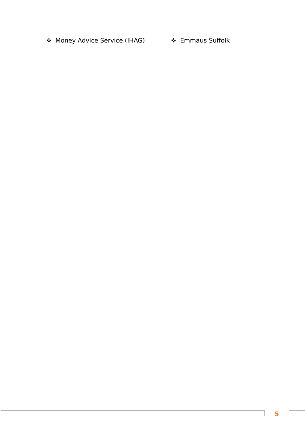◆ Money Advice Service (IHAG) → ト Emmaus Suffolk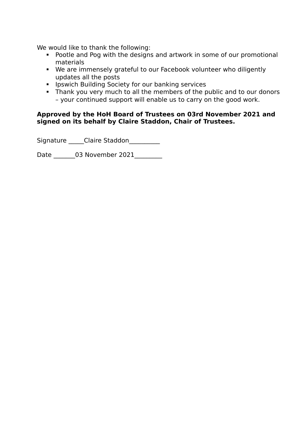We would like to thank the following:

- Pootle and Pog with the designs and artwork in some of our promotional materials
- We are immensely grateful to our Facebook volunteer who diligently updates all the posts
- Ipswich Building Society for our banking services
- Thank you very much to all the members of the public and to our donors – your continued support will enable us to carry on the good work.

#### **Approved by the HoH Board of Trustees on 03rd November 2021 and signed on its behalf by Claire Staddon, Chair of Trustees.**

Signature \_\_\_\_\_Claire Staddon\_\_\_\_\_\_\_\_\_\_

Date \_\_\_\_\_\_\_03 November 2021